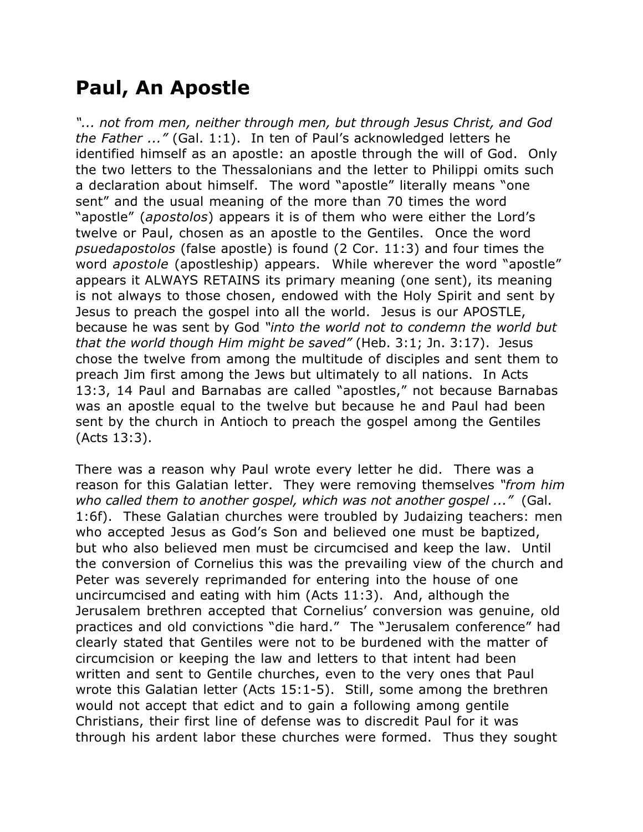## **Paul, An Apostle**

*"... not from men, neither through men, but through Jesus Christ, and God the Father ..."* (Gal. 1:1). In ten of Paul's acknowledged letters he identified himself as an apostle: an apostle through the will of God. Only the two letters to the Thessalonians and the letter to Philippi omits such a declaration about himself. The word "apostle" literally means "one sent" and the usual meaning of the more than 70 times the word "apostle" (*apostolos*) appears it is of them who were either the Lord's twelve or Paul, chosen as an apostle to the Gentiles. Once the word *psuedapostolos* (false apostle) is found (2 Cor. 11:3) and four times the word *apostole* (apostleship) appears. While wherever the word "apostle" appears it ALWAYS RETAINS its primary meaning (one sent), its meaning is not always to those chosen, endowed with the Holy Spirit and sent by Jesus to preach the gospel into all the world. Jesus is our APOSTLE, because he was sent by God *"into the world not to condemn the world but that the world though Him might be saved"* (Heb. 3:1; Jn. 3:17). Jesus chose the twelve from among the multitude of disciples and sent them to preach Jim first among the Jews but ultimately to all nations. In Acts 13:3, 14 Paul and Barnabas are called "apostles," not because Barnabas was an apostle equal to the twelve but because he and Paul had been sent by the church in Antioch to preach the gospel among the Gentiles (Acts 13:3).

There was a reason why Paul wrote every letter he did. There was a reason for this Galatian letter. They were removing themselves *"from him who called them to another gospel, which was not another gospel ..."* (Gal. 1:6f). These Galatian churches were troubled by Judaizing teachers: men who accepted Jesus as God's Son and believed one must be baptized, but who also believed men must be circumcised and keep the law. Until the conversion of Cornelius this was the prevailing view of the church and Peter was severely reprimanded for entering into the house of one uncircumcised and eating with him (Acts 11:3). And, although the Jerusalem brethren accepted that Cornelius' conversion was genuine, old practices and old convictions "die hard." The "Jerusalem conference" had clearly stated that Gentiles were not to be burdened with the matter of circumcision or keeping the law and letters to that intent had been written and sent to Gentile churches, even to the very ones that Paul wrote this Galatian letter (Acts 15:1-5). Still, some among the brethren would not accept that edict and to gain a following among gentile Christians, their first line of defense was to discredit Paul for it was through his ardent labor these churches were formed. Thus they sought